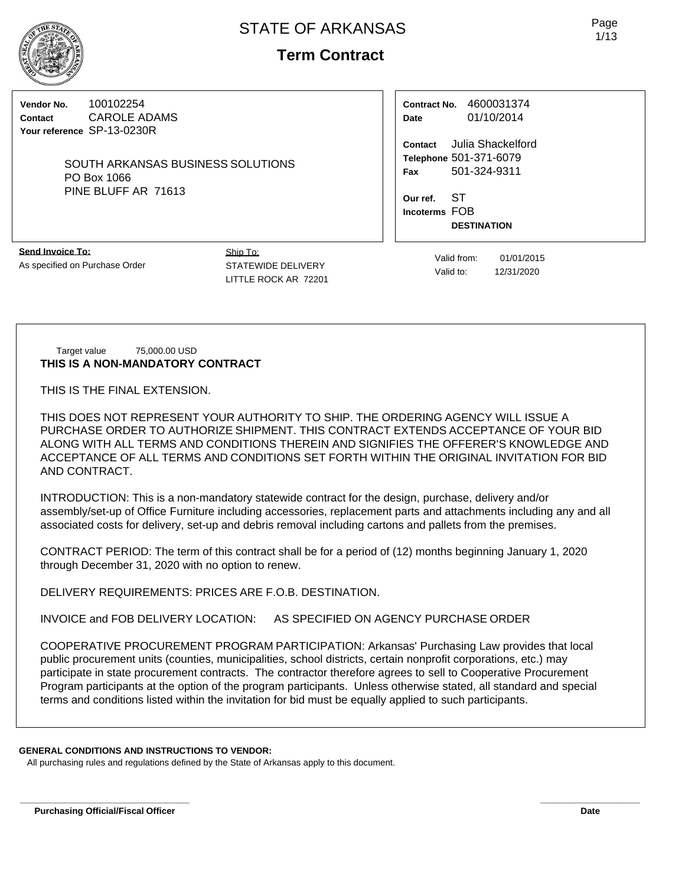

# **Term Contract**

**Vendor No.** 100102254 **Contact** CAROLE ADAMS **Your reference** SP-13-0230R

> SOUTH ARKANSAS BUSINESS SOLUTIONS PO Box 1066 PINE BLUFF AR 71613

**Contract No.** 4600031374 **Date** 01/10/2014

**Contact** Julia Shackelford **Telephone** 501-371-6079 **Fax** 501-324-9311

**Our ref.** ST **Incoterms** FOB **DESTINATION**

**Send Invoice To:** As specified on Purchase Order Ship To: STATEWIDE DELIVERY LITTLE ROCK AR 72201

Valid from: 01/01/2015 Valid to: 12/31/2020

Target value 75,000.00 USD **THIS IS A NON-MANDATORY CONTRACT**

THIS IS THE FINAL EXTENSION.

THIS DOES NOT REPRESENT YOUR AUTHORITY TO SHIP. THE ORDERING AGENCY WILL ISSUE A PURCHASE ORDER TO AUTHORIZE SHIPMENT. THIS CONTRACT EXTENDS ACCEPTANCE OF YOUR BID ALONG WITH ALL TERMS AND CONDITIONS THEREIN AND SIGNIFIES THE OFFERER'S KNOWLEDGE AND ACCEPTANCE OF ALL TERMS AND CONDITIONS SET FORTH WITHIN THE ORIGINAL INVITATION FOR BID AND CONTRACT.

INTRODUCTION: This is a non-mandatory statewide contract for the design, purchase, delivery and/or assembly/set-up of Office Furniture including accessories, replacement parts and attachments including any and all associated costs for delivery, set-up and debris removal including cartons and pallets from the premises.

CONTRACT PERIOD: The term of this contract shall be for a period of (12) months beginning January 1, 2020 through December 31, 2020 with no option to renew.

DELIVERY REQUIREMENTS: PRICES ARE F.O.B. DESTINATION.

INVOICE and FOB DELIVERY LOCATION: AS SPECIFIED ON AGENCY PURCHASE ORDER

COOPERATIVE PROCUREMENT PROGRAM PARTICIPATION: Arkansas' Purchasing Law provides that local public procurement units (counties, municipalities, school districts, certain nonprofit corporations, etc.) may participate in state procurement contracts. The contractor therefore agrees to sell to Cooperative Procurement Program participants at the option of the program participants. Unless otherwise stated, all standard and special terms and conditions listed within the invitation for bid must be equally applied to such participants.

**\_\_\_\_\_\_\_\_\_\_\_\_\_\_\_\_\_\_\_\_\_\_\_\_\_\_\_\_\_\_\_\_\_\_ \_\_\_\_\_\_\_\_\_\_\_\_\_\_\_\_\_\_\_\_**

#### **GENERAL CONDITIONS AND INSTRUCTIONS TO VENDOR:**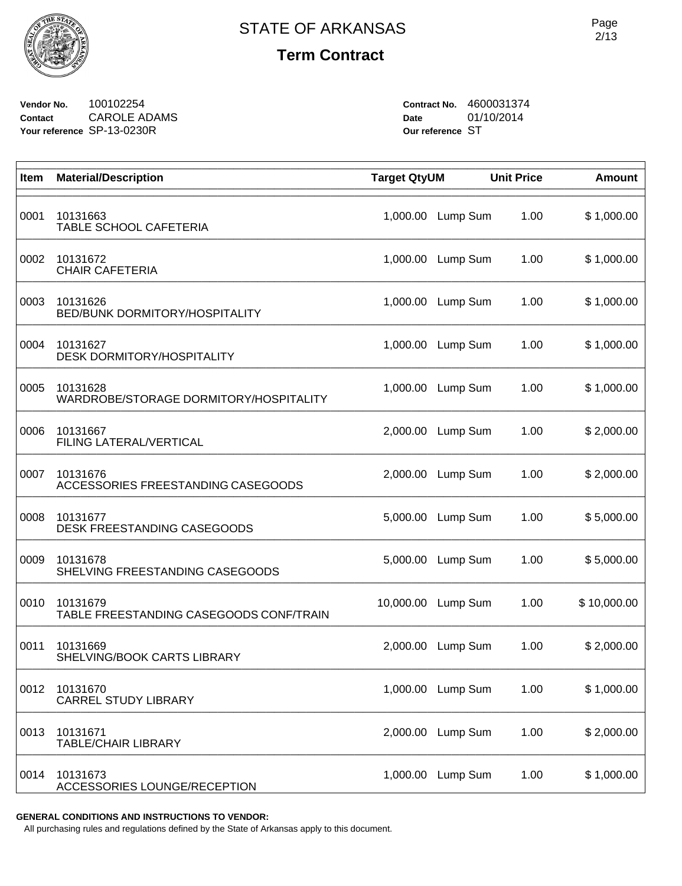

**Vendor No.** 100102254 **Contact** CAROLE ADAMS **Your reference** SP-13-0230R

**Contract No.** 4600031374 **Date** 01/10/2014 **Our reference** ST

| Item | <b>Material/Description</b>                         | <b>Target QtyUM</b> |          | <b>Unit Price</b> | <b>Amount</b> |
|------|-----------------------------------------------------|---------------------|----------|-------------------|---------------|
| 0001 | 10131663<br>TABLE SCHOOL CAFETERIA                  | 1,000.00            | Lump Sum | 1.00              | \$1,000.00    |
| 0002 | 10131672<br><b>CHAIR CAFETERIA</b>                  | 1,000.00            | Lump Sum | 1.00              | \$1,000.00    |
| 0003 | 10131626<br>BED/BUNK DORMITORY/HOSPITALITY          | 1,000.00            | Lump Sum | 1.00              | \$1,000.00    |
| 0004 | 10131627<br><b>DESK DORMITORY/HOSPITALITY</b>       | 1,000.00            | Lump Sum | 1.00              | \$1,000.00    |
| 0005 | 10131628<br>WARDROBE/STORAGE DORMITORY/HOSPITALITY  | 1,000.00            | Lump Sum | 1.00              | \$1,000.00    |
| 0006 | 10131667<br>FILING LATERAL/VERTICAL                 | 2,000.00            | Lump Sum | 1.00              | \$2,000.00    |
| 0007 | 10131676<br>ACCESSORIES FREESTANDING CASEGOODS      | 2,000.00            | Lump Sum | 1.00              | \$2,000.00    |
| 0008 | 10131677<br>DESK FREESTANDING CASEGOODS             | 5,000.00            | Lump Sum | 1.00              | \$5,000.00    |
| 0009 | 10131678<br>SHELVING FREESTANDING CASEGOODS         | 5,000.00            | Lump Sum | 1.00              | \$5,000.00    |
| 0010 | 10131679<br>TABLE FREESTANDING CASEGOODS CONF/TRAIN | 10,000.00           | Lump Sum | 1.00              | \$10,000.00   |
| 0011 | 10131669<br>SHELVING/BOOK CARTS LIBRARY             | 2,000.00            | Lump Sum | 1.00              | \$2,000.00    |
| 0012 | 10131670<br><b>CARREL STUDY LIBRARY</b>             | 1,000.00            | Lump Sum | 1.00              | \$1,000.00    |
| 0013 | 10131671<br><b>TABLE/CHAIR LIBRARY</b>              | 2,000.00            | Lump Sum | 1.00              | \$2,000.00    |
| 0014 | 10131673<br>ACCESSORIES LOUNGE/RECEPTION            | 1,000.00            | Lump Sum | 1.00              | \$1,000.00    |

**GENERAL CONDITIONS AND INSTRUCTIONS TO VENDOR:**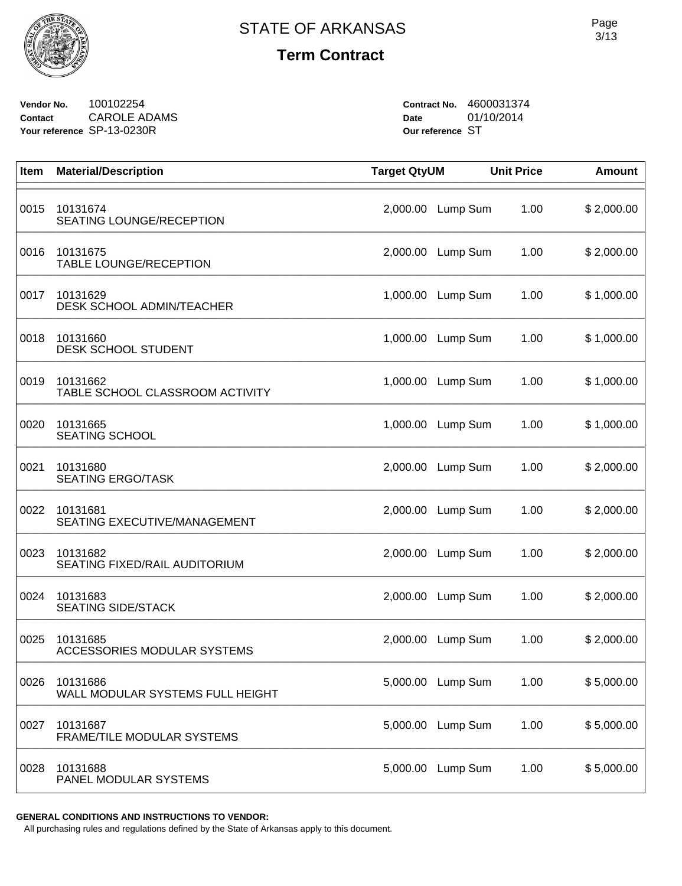

**Vendor No.** 100102254 **Contact** CAROLE ADAMS **Your reference** SP-13-0230R

**Contract No.** 4600031374 **Date** 01/10/2014 **Our reference** ST

| Item | <b>Material/Description</b>                  | <b>Target QtyUM</b> |          | <b>Unit Price</b> | <b>Amount</b> |
|------|----------------------------------------------|---------------------|----------|-------------------|---------------|
| 0015 | 10131674<br>SEATING LOUNGE/RECEPTION         | 2,000.00            | Lump Sum | 1.00              | \$2,000.00    |
| 0016 | 10131675<br><b>TABLE LOUNGE/RECEPTION</b>    | 2,000.00            | Lump Sum | 1.00              | \$2,000.00    |
| 0017 | 10131629<br>DESK SCHOOL ADMIN/TEACHER        | 1,000.00            | Lump Sum | 1.00              | \$1,000.00    |
| 0018 | 10131660<br>DESK SCHOOL STUDENT              | 1,000.00            | Lump Sum | 1.00              | \$1,000.00    |
| 0019 | 10131662<br>TABLE SCHOOL CLASSROOM ACTIVITY  | 1,000.00            | Lump Sum | 1.00              | \$1,000.00    |
| 0020 | 10131665<br><b>SEATING SCHOOL</b>            | 1,000.00            | Lump Sum | 1.00              | \$1,000.00    |
| 0021 | 10131680<br><b>SEATING ERGO/TASK</b>         | 2,000.00            | Lump Sum | 1.00              | \$2,000.00    |
| 0022 | 10131681<br>SEATING EXECUTIVE/MANAGEMENT     | 2,000.00            | Lump Sum | 1.00              | \$2,000.00    |
| 0023 | 10131682<br>SEATING FIXED/RAIL AUDITORIUM    | 2,000.00            | Lump Sum | 1.00              | \$2,000.00    |
| 0024 | 10131683<br><b>SEATING SIDE/STACK</b>        | 2,000.00            | Lump Sum | 1.00              | \$2,000.00    |
| 0025 | 10131685<br>ACCESSORIES MODULAR SYSTEMS      | 2,000.00            | Lump Sum | 1.00              | \$2,000.00    |
| 0026 | 10131686<br>WALL MODULAR SYSTEMS FULL HEIGHT | 5,000.00            | Lump Sum | 1.00              | \$5,000.00    |
| 0027 | 10131687<br>FRAME/TILE MODULAR SYSTEMS       | 5,000.00            | Lump Sum | 1.00              | \$5,000.00    |
| 0028 | 10131688<br>PANEL MODULAR SYSTEMS            | 5,000.00            | Lump Sum | 1.00              | \$5,000.00    |

**GENERAL CONDITIONS AND INSTRUCTIONS TO VENDOR:**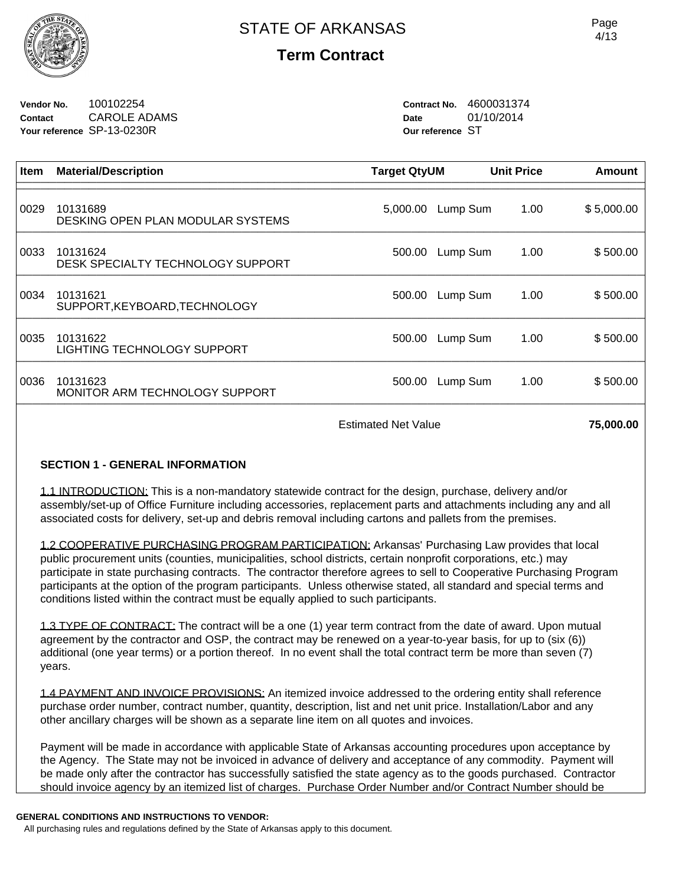

**Vendor No.** 100102254 **Contact** CAROLE ADAMS **Your reference** SP-13-0230R

**Contract No.** 4600031374 **Date** 01/10/2014 **Our reference** ST

| Item | <b>Material/Description</b>                   | <b>Target QtyUM</b> |          | <b>Unit Price</b> | Amount     |
|------|-----------------------------------------------|---------------------|----------|-------------------|------------|
| 0029 | 10131689<br>DESKING OPEN PLAN MODULAR SYSTEMS | 5,000.00            | Lump Sum | 1.00              | \$5,000.00 |
| 0033 | 10131624<br>DESK SPECIALTY TECHNOLOGY SUPPORT | 500.00              | Lump Sum | 1.00              | \$500.00   |
| 0034 | 10131621<br>SUPPORT, KEYBOARD, TECHNOLOGY     | 500.00              | Lump Sum | 1.00              | \$500.00   |
| 0035 | 10131622<br>LIGHTING TECHNOLOGY SUPPORT       | 500.00              | Lump Sum | 1.00              | \$500.00   |
| 0036 | 10131623<br>MONITOR ARM TECHNOLOGY SUPPORT    | 500.00              | Lump Sum | 1.00              | \$500.00   |
|      | <b>Estimated Net Value</b>                    |                     |          |                   | 75.000.00  |

## **SECTION 1 - GENERAL INFORMATION**

1.1 INTRODUCTION: This is a non-mandatory statewide contract for the design, purchase, delivery and/or assembly/set-up of Office Furniture including accessories, replacement parts and attachments including any and all associated costs for delivery, set-up and debris removal including cartons and pallets from the premises.

1.2 COOPERATIVE PURCHASING PROGRAM PARTICIPATION: Arkansas' Purchasing Law provides that local public procurement units (counties, municipalities, school districts, certain nonprofit corporations, etc.) may participate in state purchasing contracts. The contractor therefore agrees to sell to Cooperative Purchasing Program participants at the option of the program participants. Unless otherwise stated, all standard and special terms and conditions listed within the contract must be equally applied to such participants.

1.3 TYPE OF CONTRACT: The contract will be a one (1) year term contract from the date of award. Upon mutual agreement by the contractor and OSP, the contract may be renewed on a year-to-year basis, for up to (six (6)) additional (one year terms) or a portion thereof. In no event shall the total contract term be more than seven (7) years.

1.4 PAYMENT AND INVOICE PROVISIONS: An itemized invoice addressed to the ordering entity shall reference purchase order number, contract number, quantity, description, list and net unit price. Installation/Labor and any other ancillary charges will be shown as a separate line item on all quotes and invoices.

Payment will be made in accordance with applicable State of Arkansas accounting procedures upon acceptance by the Agency. The State may not be invoiced in advance of delivery and acceptance of any commodity. Payment will be made only after the contractor has successfully satisfied the state agency as to the goods purchased. Contractor should invoice agency by an itemized list of charges. Purchase Order Number and/or Contract Number should be

#### **GENERAL CONDITIONS AND INSTRUCTIONS TO VENDOR:**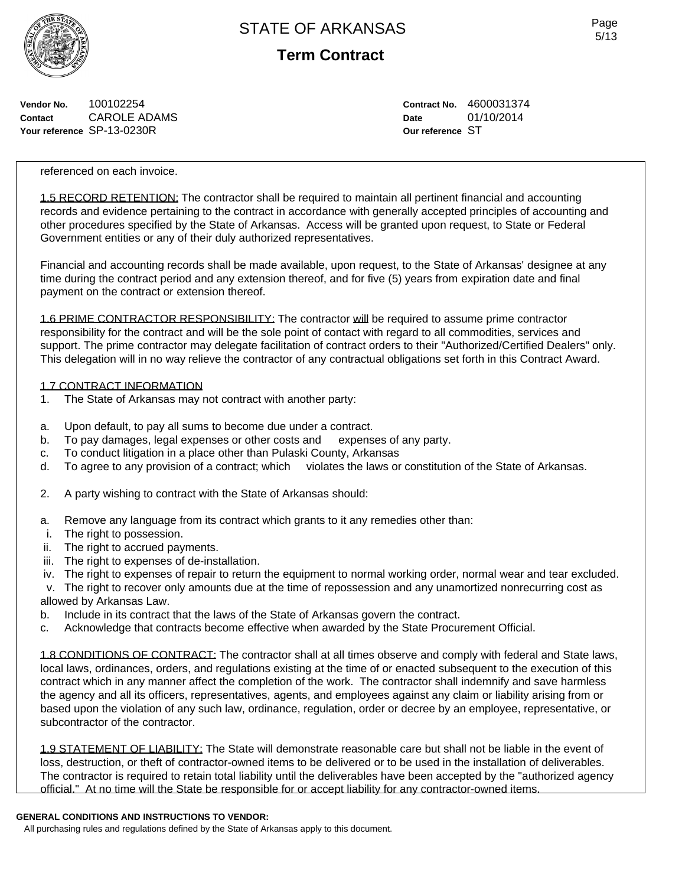

**Term Contract**

**Vendor No.** 100102254 **Contact** CAROLE ADAMS **Your reference** SP-13-0230R

**Contract No.** 4600031374 **Date** 01/10/2014 **Our reference** ST

referenced on each invoice.

1.5 RECORD RETENTION: The contractor shall be required to maintain all pertinent financial and accounting records and evidence pertaining to the contract in accordance with generally accepted principles of accounting and other procedures specified by the State of Arkansas. Access will be granted upon request, to State or Federal Government entities or any of their duly authorized representatives.

Financial and accounting records shall be made available, upon request, to the State of Arkansas' designee at any time during the contract period and any extension thereof, and for five (5) years from expiration date and final payment on the contract or extension thereof.

1.6 PRIME CONTRACTOR RESPONSIBILITY: The contractor will be required to assume prime contractor responsibility for the contract and will be the sole point of contact with regard to all commodities, services and support. The prime contractor may delegate facilitation of contract orders to their "Authorized/Certified Dealers" only. This delegation will in no way relieve the contractor of any contractual obligations set forth in this Contract Award.

#### 1.7 CONTRACT INFORMATION

- 1. The State of Arkansas may not contract with another party:
- a. Upon default, to pay all sums to become due under a contract.
- b. To pay damages, legal expenses or other costs and expenses of any party.
- c. To conduct litigation in a place other than Pulaski County, Arkansas
- d. To agree to any provision of a contract; which violates the laws or constitution of the State of Arkansas.
- 2. A party wishing to contract with the State of Arkansas should:
- a. Remove any language from its contract which grants to it any remedies other than:
- i. The right to possession.
- ii. The right to accrued payments.
- iii. The right to expenses of de-installation.
- iv. The right to expenses of repair to return the equipment to normal working order, normal wear and tear excluded.

 v. The right to recover only amounts due at the time of repossession and any unamortized nonrecurring cost as allowed by Arkansas Law.

- b. Include in its contract that the laws of the State of Arkansas govern the contract.
- c. Acknowledge that contracts become effective when awarded by the State Procurement Official.

1.8 CONDITIONS OF CONTRACT: The contractor shall at all times observe and comply with federal and State laws, local laws, ordinances, orders, and regulations existing at the time of or enacted subsequent to the execution of this contract which in any manner affect the completion of the work. The contractor shall indemnify and save harmless the agency and all its officers, representatives, agents, and employees against any claim or liability arising from or based upon the violation of any such law, ordinance, regulation, order or decree by an employee, representative, or subcontractor of the contractor.

1.9 STATEMENT OF LIABILITY: The State will demonstrate reasonable care but shall not be liable in the event of loss, destruction, or theft of contractor-owned items to be delivered or to be used in the installation of deliverables. The contractor is required to retain total liability until the deliverables have been accepted by the "authorized agency official." At no time will the State be responsible for or accept liability for any contractor-owned items.

#### **GENERAL CONDITIONS AND INSTRUCTIONS TO VENDOR:**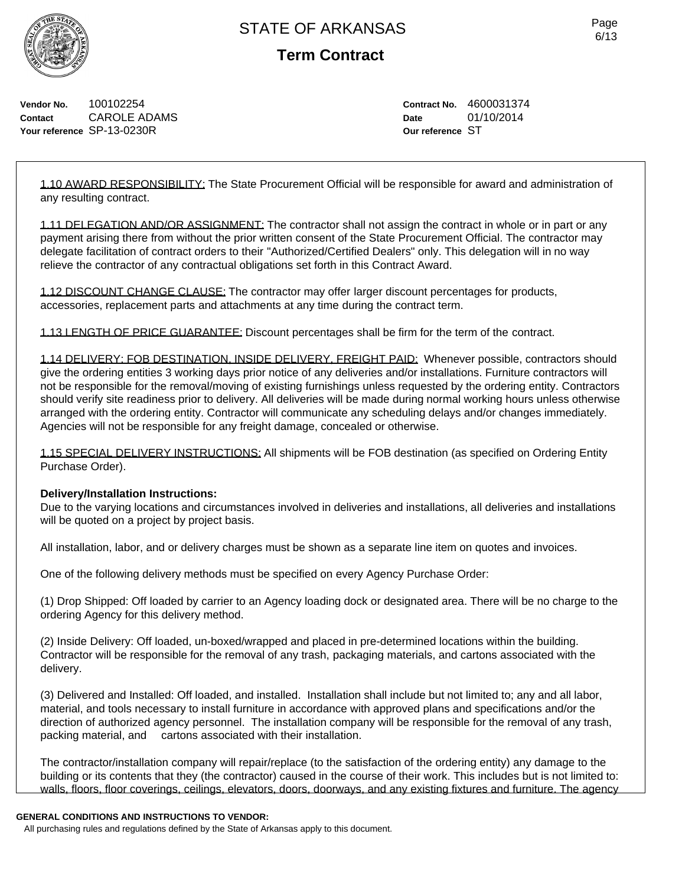

**Term Contract**

**Vendor No.** 100102254 **Contact** CAROLE ADAMS **Your reference** SP-13-0230R

**Contract No.** 4600031374 **Date** 01/10/2014 **Our reference** ST

1.10 AWARD RESPONSIBILITY: The State Procurement Official will be responsible for award and administration of any resulting contract.

1.11 DELEGATION AND/OR ASSIGNMENT: The contractor shall not assign the contract in whole or in part or any payment arising there from without the prior written consent of the State Procurement Official. The contractor may delegate facilitation of contract orders to their "Authorized/Certified Dealers" only. This delegation will in no way relieve the contractor of any contractual obligations set forth in this Contract Award.

1.12 DISCOUNT CHANGE CLAUSE: The contractor may offer larger discount percentages for products, accessories, replacement parts and attachments at any time during the contract term.

1.13 LENGTH OF PRICE GUARANTEE: Discount percentages shall be firm for the term of the contract.

1.14 DELIVERY: FOB DESTINATION, INSIDE DELIVERY, FREIGHT PAID: Whenever possible, contractors should give the ordering entities 3 working days prior notice of any deliveries and/or installations. Furniture contractors will not be responsible for the removal/moving of existing furnishings unless requested by the ordering entity. Contractors should verify site readiness prior to delivery. All deliveries will be made during normal working hours unless otherwise arranged with the ordering entity. Contractor will communicate any scheduling delays and/or changes immediately. Agencies will not be responsible for any freight damage, concealed or otherwise.

1.15 SPECIAL DELIVERY INSTRUCTIONS: All shipments will be FOB destination (as specified on Ordering Entity Purchase Order).

#### **Delivery/Installation Instructions:**

Due to the varying locations and circumstances involved in deliveries and installations, all deliveries and installations will be quoted on a project by project basis.

All installation, labor, and or delivery charges must be shown as a separate line item on quotes and invoices.

One of the following delivery methods must be specified on every Agency Purchase Order:

(1) Drop Shipped: Off loaded by carrier to an Agency loading dock or designated area. There will be no charge to the ordering Agency for this delivery method.

(2) Inside Delivery: Off loaded, un-boxed/wrapped and placed in pre-determined locations within the building. Contractor will be responsible for the removal of any trash, packaging materials, and cartons associated with the delivery.

(3) Delivered and Installed: Off loaded, and installed. Installation shall include but not limited to; any and all labor, material, and tools necessary to install furniture in accordance with approved plans and specifications and/or the direction of authorized agency personnel. The installation company will be responsible for the removal of any trash, packing material, and cartons associated with their installation.

The contractor/installation company will repair/replace (to the satisfaction of the ordering entity) any damage to the building or its contents that they (the contractor) caused in the course of their work. This includes but is not limited to: walls, floors, floor coverings, ceilings, elevators, doors, doorways, and any existing fixtures and furniture. The agency

#### **GENERAL CONDITIONS AND INSTRUCTIONS TO VENDOR:**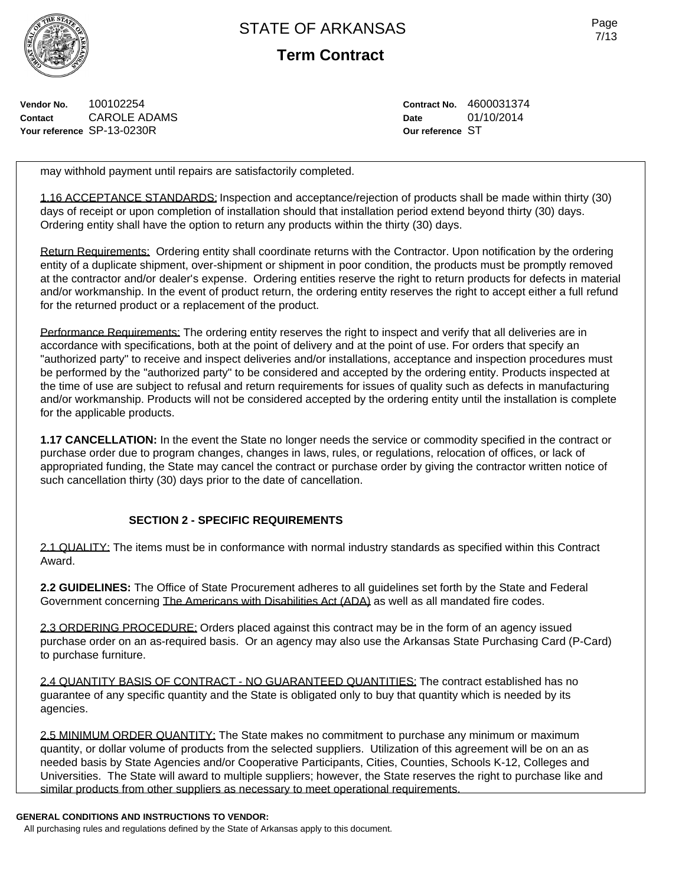

**Term Contract**

Page 7/13

**Vendor No.** 100102254 **Contact** CAROLE ADAMS **Your reference** SP-13-0230R

**Contract No.** 4600031374 **Date** 01/10/2014 **Our reference** ST

may withhold payment until repairs are satisfactorily completed.

1.16 ACCEPTANCE STANDARDS: Inspection and acceptance/rejection of products shall be made within thirty (30) days of receipt or upon completion of installation should that installation period extend beyond thirty (30) days. Ordering entity shall have the option to return any products within the thirty (30) days.

Return Requirements: Ordering entity shall coordinate returns with the Contractor. Upon notification by the ordering entity of a duplicate shipment, over-shipment or shipment in poor condition, the products must be promptly removed at the contractor and/or dealer's expense. Ordering entities reserve the right to return products for defects in material and/or workmanship. In the event of product return, the ordering entity reserves the right to accept either a full refund for the returned product or a replacement of the product.

Performance Requirements: The ordering entity reserves the right to inspect and verify that all deliveries are in accordance with specifications, both at the point of delivery and at the point of use. For orders that specify an "authorized party" to receive and inspect deliveries and/or installations, acceptance and inspection procedures must be performed by the "authorized party" to be considered and accepted by the ordering entity. Products inspected at the time of use are subject to refusal and return requirements for issues of quality such as defects in manufacturing and/or workmanship. Products will not be considered accepted by the ordering entity until the installation is complete for the applicable products.

**1.17 CANCELLATION:** In the event the State no longer needs the service or commodity specified in the contract or purchase order due to program changes, changes in laws, rules, or regulations, relocation of offices, or lack of appropriated funding, the State may cancel the contract or purchase order by giving the contractor written notice of such cancellation thirty (30) days prior to the date of cancellation.

## **SECTION 2 - SPECIFIC REQUIREMENTS**

2.1 QUALITY: The items must be in conformance with normal industry standards as specified within this Contract Award.

**2.2 GUIDELINES:** The Office of State Procurement adheres to all guidelines set forth by the State and Federal Government concerning The Americans with Disabilities Act (ADA) as well as all mandated fire codes.

2.3 ORDERING PROCEDURE: Orders placed against this contract may be in the form of an agency issued purchase order on an as-required basis. Or an agency may also use the Arkansas State Purchasing Card (P-Card) to purchase furniture.

2.4 QUANTITY BASIS OF CONTRACT - NO GUARANTEED QUANTITIES: The contract established has no guarantee of any specific quantity and the State is obligated only to buy that quantity which is needed by its agencies.

2.5 MINIMUM ORDER QUANTITY: The State makes no commitment to purchase any minimum or maximum quantity, or dollar volume of products from the selected suppliers. Utilization of this agreement will be on an as needed basis by State Agencies and/or Cooperative Participants, Cities, Counties, Schools K-12, Colleges and Universities. The State will award to multiple suppliers; however, the State reserves the right to purchase like and similar products from other suppliers as necessary to meet operational requirements.

#### **GENERAL CONDITIONS AND INSTRUCTIONS TO VENDOR:**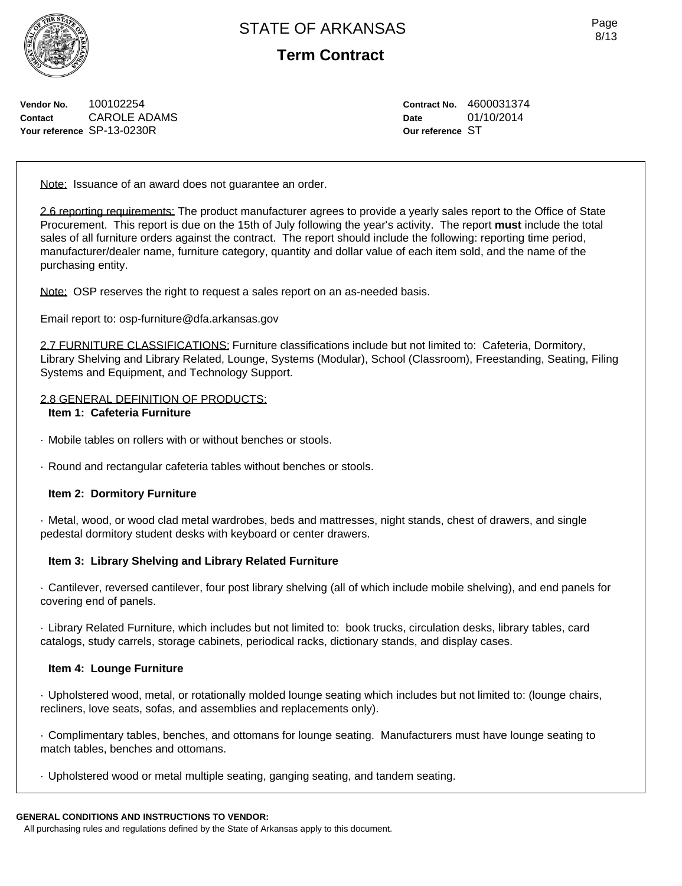**Term Contract**

**Vendor No.** 100102254 **Contact** CAROLE ADAMS **Your reference** SP-13-0230R

**Contract No.** 4600031374 **Date** 01/10/2014 **Our reference** ST

Note: Issuance of an award does not quarantee an order.

2.6 reporting requirements: The product manufacturer agrees to provide a yearly sales report to the Office of State Procurement. This report is due on the 15th of July following the year's activity. The report **must** include the total sales of all furniture orders against the contract. The report should include the following: reporting time period, manufacturer/dealer name, furniture category, quantity and dollar value of each item sold, and the name of the purchasing entity.

Note: OSP reserves the right to request a sales report on an as-needed basis.

Email report to: osp-furniture@dfa.arkansas.gov

2.7 FURNITURE CLASSIFICATIONS: Furniture classifications include but not limited to: Cafeteria, Dormitory, Library Shelving and Library Related, Lounge, Systems (Modular), School (Classroom), Freestanding, Seating, Filing Systems and Equipment, and Technology Support.

## 2.8 GENERAL DEFINITION OF PRODUCTS:

#### **Item 1: Cafeteria Furniture**

- · Mobile tables on rollers with or without benches or stools.
- · Round and rectangular cafeteria tables without benches or stools.

#### **Item 2: Dormitory Furniture**

· Metal, wood, or wood clad metal wardrobes, beds and mattresses, night stands, chest of drawers, and single pedestal dormitory student desks with keyboard or center drawers.

#### **Item 3: Library Shelving and Library Related Furniture**

· Cantilever, reversed cantilever, four post library shelving (all of which include mobile shelving), and end panels for covering end of panels.

· Library Related Furniture, which includes but not limited to: book trucks, circulation desks, library tables, card catalogs, study carrels, storage cabinets, periodical racks, dictionary stands, and display cases.

#### **Item 4: Lounge Furniture**

· Upholstered wood, metal, or rotationally molded lounge seating which includes but not limited to: (lounge chairs, recliners, love seats, sofas, and assemblies and replacements only).

· Complimentary tables, benches, and ottomans for lounge seating. Manufacturers must have lounge seating to match tables, benches and ottomans.

· Upholstered wood or metal multiple seating, ganging seating, and tandem seating.

#### **GENERAL CONDITIONS AND INSTRUCTIONS TO VENDOR:**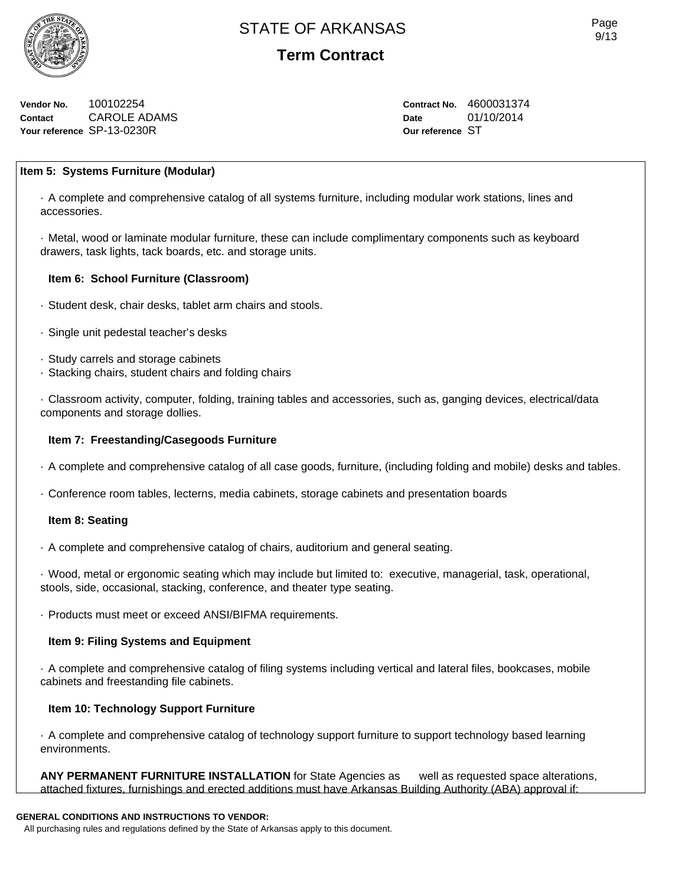

**Vendor No.** 100102254 **Contact** CAROLE ADAMS **Your reference** SP-13-0230R

**Contract No.** 4600031374 **Date** 01/10/2014 **Our reference** ST

## **Item 5: Systems Furniture (Modular)**

· A complete and comprehensive catalog of all systems furniture, including modular work stations, lines and accessories.

· Metal, wood or laminate modular furniture, these can include complimentary components such as keyboard drawers, task lights, tack boards, etc. and storage units.

## **Item 6: School Furniture (Classroom)**

- · Student desk, chair desks, tablet arm chairs and stools.
- · Single unit pedestal teacher's desks
- · Study carrels and storage cabinets
- · Stacking chairs, student chairs and folding chairs

· Classroom activity, computer, folding, training tables and accessories, such as, ganging devices, electrical/data components and storage dollies.

## **Item 7: Freestanding/Casegoods Furniture**

- · A complete and comprehensive catalog of all case goods, furniture, (including folding and mobile) desks and tables.
- · Conference room tables, lecterns, media cabinets, storage cabinets and presentation boards

#### **Item 8: Seating**

· A complete and comprehensive catalog of chairs, auditorium and general seating.

· Wood, metal or ergonomic seating which may include but limited to: executive, managerial, task, operational, stools, side, occasional, stacking, conference, and theater type seating.

· Products must meet or exceed ANSI/BIFMA requirements.

## **Item 9: Filing Systems and Equipment**

· A complete and comprehensive catalog of filing systems including vertical and lateral files, bookcases, mobile cabinets and freestanding file cabinets.

# **Item 10: Technology Support Furniture**

· A complete and comprehensive catalog of technology support furniture to support technology based learning environments.

**ANY PERMANENT FURNITURE INSTALLATION** for State Agencies as well as requested space alterations, attached fixtures, furnishings and erected additions must have Arkansas Building Authority (ABA) approval if:

## **GENERAL CONDITIONS AND INSTRUCTIONS TO VENDOR:**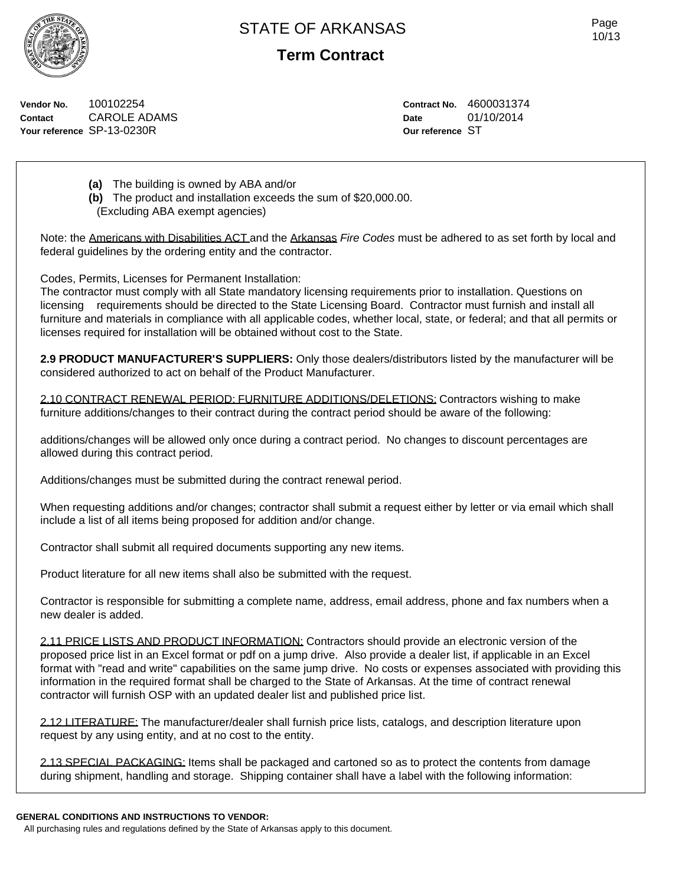

**Term Contract**

**Vendor No.** 100102254 **Contact** CAROLE ADAMS **Your reference** SP-13-0230R

**Contract No.** 4600031374 **Date** 01/10/2014 **Our reference** ST

**(a)** The building is owned by ABA and/or

**(b)** The product and installation exceeds the sum of \$20,000.00. (Excluding ABA exempt agencies)

Note: the Americans with Disabilities ACT and the Arkansas *Fire Codes* must be adhered to as set forth by local and federal guidelines by the ordering entity and the contractor.

Codes, Permits, Licenses for Permanent Installation:

The contractor must comply with all State mandatory licensing requirements prior to installation. Questions on licensing requirements should be directed to the State Licensing Board. Contractor must furnish and install all furniture and materials in compliance with all applicable codes, whether local, state, or federal; and that all permits or licenses required for installation will be obtained without cost to the State.

**2.9 PRODUCT MANUFACTURER'S SUPPLIERS:** Only those dealers/distributors listed by the manufacturer will be considered authorized to act on behalf of the Product Manufacturer.

2.10 CONTRACT RENEWAL PERIOD: FURNITURE ADDITIONS/DELETIONS: Contractors wishing to make furniture additions/changes to their contract during the contract period should be aware of the following:

additions/changes will be allowed only once during a contract period. No changes to discount percentages are allowed during this contract period.

Additions/changes must be submitted during the contract renewal period.

When requesting additions and/or changes; contractor shall submit a request either by letter or via email which shall include a list of all items being proposed for addition and/or change.

Contractor shall submit all required documents supporting any new items.

Product literature for all new items shall also be submitted with the request.

Contractor is responsible for submitting a complete name, address, email address, phone and fax numbers when a new dealer is added.

2.11 PRICE LISTS AND PRODUCT INFORMATION: Contractors should provide an electronic version of the proposed price list in an Excel format or pdf on a jump drive. Also provide a dealer list, if applicable in an Excel format with "read and write" capabilities on the same jump drive. No costs or expenses associated with providing this information in the required format shall be charged to the State of Arkansas. At the time of contract renewal contractor will furnish OSP with an updated dealer list and published price list.

2.12 LITERATURE: The manufacturer/dealer shall furnish price lists, catalogs, and description literature upon request by any using entity, and at no cost to the entity.

2.13 SPECIAL PACKAGING: Items shall be packaged and cartoned so as to protect the contents from damage during shipment, handling and storage. Shipping container shall have a label with the following information:

#### **GENERAL CONDITIONS AND INSTRUCTIONS TO VENDOR:**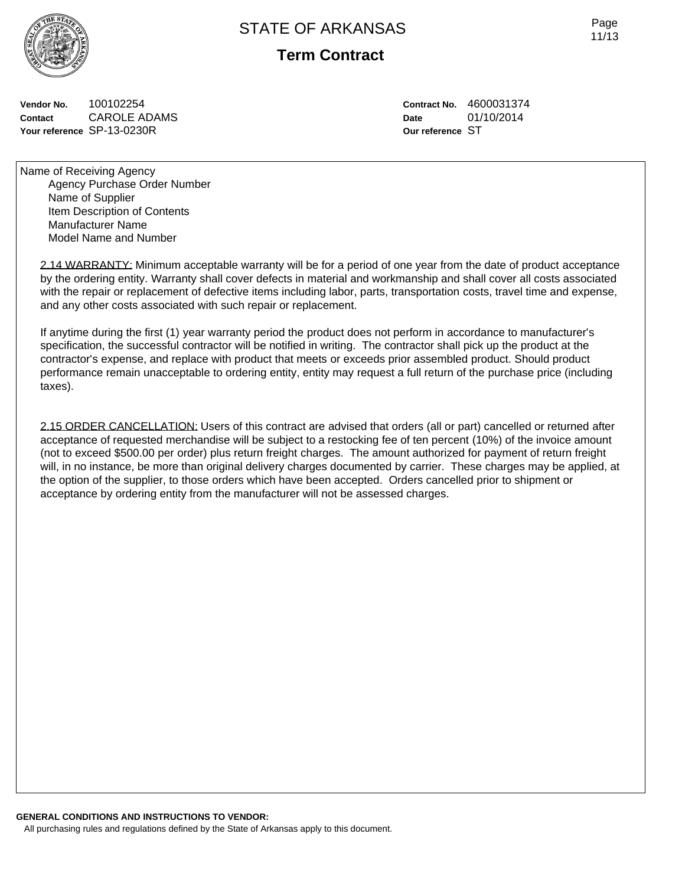

**Term Contract**

**Vendor No.** 100102254 **Contact** CAROLE ADAMS **Your reference** SP-13-0230R

**Contract No.** 4600031374 **Date** 01/10/2014 **Our reference** ST

Name of Receiving Agency Agency Purchase Order Number Name of Supplier Item Description of Contents Manufacturer Name Model Name and Number

2.14 WARRANTY: Minimum acceptable warranty will be for a period of one year from the date of product acceptance by the ordering entity. Warranty shall cover defects in material and workmanship and shall cover all costs associated with the repair or replacement of defective items including labor, parts, transportation costs, travel time and expense, and any other costs associated with such repair or replacement.

If anytime during the first (1) year warranty period the product does not perform in accordance to manufacturer's specification, the successful contractor will be notified in writing. The contractor shall pick up the product at the contractor's expense, and replace with product that meets or exceeds prior assembled product. Should product performance remain unacceptable to ordering entity, entity may request a full return of the purchase price (including taxes).

2.15 ORDER CANCELLATION: Users of this contract are advised that orders (all or part) cancelled or returned after acceptance of requested merchandise will be subject to a restocking fee of ten percent (10%) of the invoice amount (not to exceed \$500.00 per order) plus return freight charges. The amount authorized for payment of return freight will, in no instance, be more than original delivery charges documented by carrier. These charges may be applied, at the option of the supplier, to those orders which have been accepted. Orders cancelled prior to shipment or acceptance by ordering entity from the manufacturer will not be assessed charges.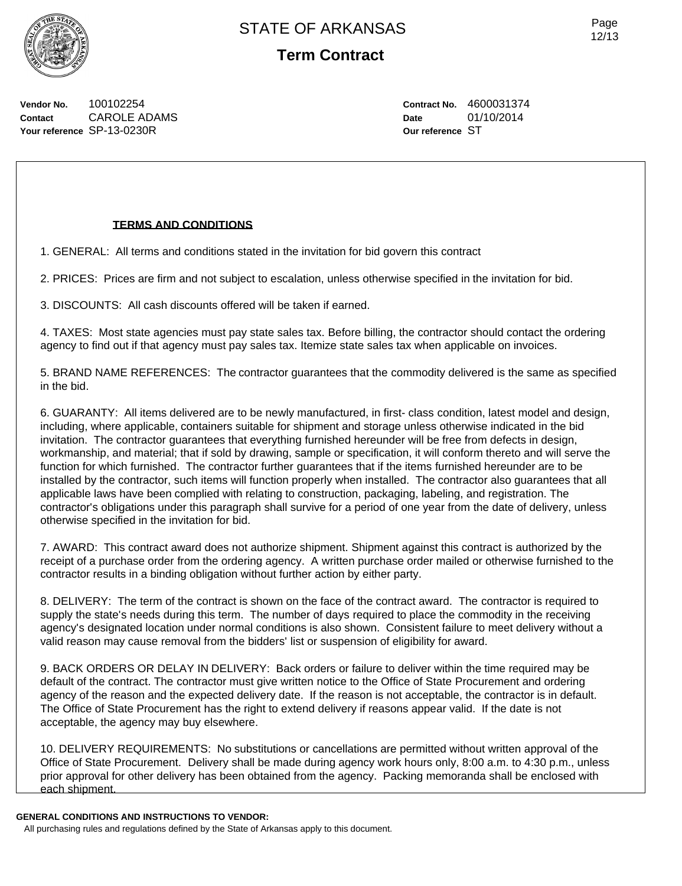

Page 12/13

**Vendor No.** 100102254 **Contact** CAROLE ADAMS **Your reference** SP-13-0230R

**Contract No.** 4600031374 **Date** 01/10/2014 **Our reference** ST

## **TERMS AND CONDITIONS**

1. GENERAL: All terms and conditions stated in the invitation for bid govern this contract

2. PRICES: Prices are firm and not subject to escalation, unless otherwise specified in the invitation for bid.

3. DISCOUNTS: All cash discounts offered will be taken if earned.

4. TAXES: Most state agencies must pay state sales tax. Before billing, the contractor should contact the ordering agency to find out if that agency must pay sales tax. Itemize state sales tax when applicable on invoices.

5. BRAND NAME REFERENCES: The contractor guarantees that the commodity delivered is the same as specified in the bid.

6. GUARANTY: All items delivered are to be newly manufactured, in first- class condition, latest model and design, including, where applicable, containers suitable for shipment and storage unless otherwise indicated in the bid invitation. The contractor guarantees that everything furnished hereunder will be free from defects in design, workmanship, and material; that if sold by drawing, sample or specification, it will conform thereto and will serve the function for which furnished. The contractor further guarantees that if the items furnished hereunder are to be installed by the contractor, such items will function properly when installed. The contractor also guarantees that all applicable laws have been complied with relating to construction, packaging, labeling, and registration. The contractor's obligations under this paragraph shall survive for a period of one year from the date of delivery, unless otherwise specified in the invitation for bid.

7. AWARD: This contract award does not authorize shipment. Shipment against this contract is authorized by the receipt of a purchase order from the ordering agency. A written purchase order mailed or otherwise furnished to the contractor results in a binding obligation without further action by either party.

8. DELIVERY: The term of the contract is shown on the face of the contract award. The contractor is required to supply the state's needs during this term. The number of days required to place the commodity in the receiving agency's designated location under normal conditions is also shown. Consistent failure to meet delivery without a valid reason may cause removal from the bidders' list or suspension of eligibility for award.

9. BACK ORDERS OR DELAY IN DELIVERY: Back orders or failure to deliver within the time required may be default of the contract. The contractor must give written notice to the Office of State Procurement and ordering agency of the reason and the expected delivery date. If the reason is not acceptable, the contractor is in default. The Office of State Procurement has the right to extend delivery if reasons appear valid. If the date is not acceptable, the agency may buy elsewhere.

10. DELIVERY REQUIREMENTS: No substitutions or cancellations are permitted without written approval of the Office of State Procurement. Delivery shall be made during agency work hours only, 8:00 a.m. to 4:30 p.m., unless prior approval for other delivery has been obtained from the agency. Packing memoranda shall be enclosed with each shipment.

**GENERAL CONDITIONS AND INSTRUCTIONS TO VENDOR:**